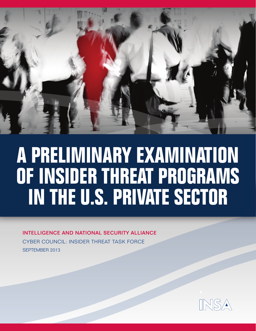

# A PRELIMINARY EXAMINATION OF INSIDER THREAT PROGRAMS IN THE U.S. PRIVATE SECTOR

**INTELLIGENCE AND NATIONAL SECURITY ALLIANCE CYBER COUNCIL: INSIDER THREAT TASK FORCE SEPTEMBER 2013** 

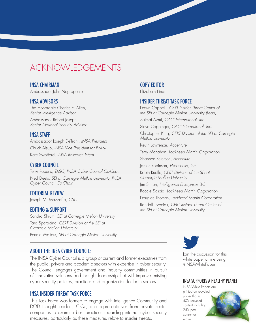### **ACKNOWLEDGEMENTS**

#### **INSA CHAIRMAN**

Ambassador John Negroponte

#### **INSA ADVISORS**

The Honorable Charles E. Allen, Senior Intelligence Advisor

Ambassador Robert Joseph, Senior National Security Advisor

#### **INSA STAFF**

Ambassador Joseph DeTrani, INSA President Chuck Alsup, INSA Vice President for Policy Kate Swofford, INSA Research Intern

#### **CYBER COUNCIL**

Terry Roberts, TASC, INSA Cyber Council Co-Chair Ned Deets, SEI at Carnegie Mellon University, INSA Cyber Council Co-Chair

#### **EDITORIAL REVIEW**

Joseph M. Mazzafro, CSC

#### **EDITING & SUPPORT**

Sandra Shrum, SEI at Carnegie Mellon University Tara Sparacino, CERT Division of the SEI at Carnegie Mellon University Pennie Walters, SEI at Carnegie Mellon University

#### **COPY EDITOR**

Elizabeth Finan

#### **INSIDER THREAT TASK FORCE**

Dawn Cappelli, CERT Insider Threat Center of the SEI at Carnegie Mellon University (Lead) Zalmai Azmi, CACI International, Inc. Steve Coppinger, CACI International, Inc. Christopher King, CERT Division of the SEI at Carnegie Mellon University Kevin Lawrence, Accenture Terry Monahan, Lockheed Martin Corporation

Shannon Peterson, Accenture

James Robinson, Websense, Inc.

Robin Ruefle, CERT Division of the SEI at Carnegie Mellon University

Jim Simon, Intelligence Enterprises LLC

Roccie Soscia, Lockheed Martin Corporation

Douglas Thomas, Lockheed Martin Corporation

Randall Trzeciak, CERT Insider Threat Center of the SEI at Carnegie Mellon University

#### **ABOUT THE INSA CYBER COUNCIL:**

The INSA Cyber Council is a group of current and former executives from the public, private and academic sectors with expertise in cyber security. The Council engages government and industry communities in pursuit of innovative solutions and thought leadership that will improve existing cyber security policies, practices and organization for both sectors.

#### **INSA INSIDER THREAT TASK FORCE:**

This Task Force was formed to engage with Intelligence Community and DOD thought leaders, CIOs, and representatives from private sector companies to examine best practices regarding internal cyber security measures, particularly as these measures relate to insider threats.



Join the discussion for this white paper online using #INSAWhitePaper

#### **INSA SUPPORTS A HEALTHY PLANET**

**INSA White Papers are** printed on recycled paper that is 50% recycled content including 25% post consumer waste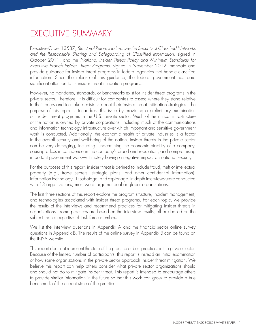### executIve summARy

Executive Order 13587, *Structural Reforms to Improve the Security of Classified Networks and the Responsible Sharing and Safeguarding of Classified Information,* signed in october 2011, and the *National Insider Threat Policy and Minimum Standards for Executive Branch Insider Threat Programs,* signed in November 2012, mandate and provide guidance for insider threat programs in federal agencies that handle classified information. since the release of this guidance, the federal government has paid significant attention to its insider threat mitigation programs.

However, no mandates, standards, or benchmarks exist for insider threat programs in the private sector. Therefore, it is difficult for companies to assess where they stand relative to their peers and to make decisions about their insider threat mitigation strategies. the purpose of this report is to address this issue by providing a preliminary examination of insider threat programs in the U.S. private sector. Much of the critical infrastructure of the nation is owned by private corporations, including much of the communications and information technology infrastructure over which important and sensitive government work is conducted. Additionally, the economic health of private industries is a factor in the overall security and well-being of the nation. Insider threats in the private sector can be very damaging, including: undermining the economic viability of a company, causing a loss in confidence in the company's brand and reputation, and compromising important government work—ultimately having a negative impact on national security.

For the purposes of this report, insider threat is defined to include fraud, theft of intellectual property (e.g., trade secrets, strategic plans, and other confidential information), information technology (It) sabotage, and espionage. In-depth interviews were conducted with 13 organizations; most were large national or global organizations.

The first three sections of this report explore the program structure, incident management, and technologies associated with insider threat programs. For each topic, we provide the results of the interviews and recommend practices for mitigating insider threats in organizations. some practices are based on the interview results; all are based on the subject matter expertise of task force members.

we list the interview questions in Appendix A and the financial-sector online survey questions in Appendix B. The results of the online survey in Appendix B can be found on the INSA website.

This report does not represent the state of the practice or best practices in the private sector. Because of the limited number of participants, this report is instead an initial examination of how some organizations in the private sector approach insider threat mitigation. we believe this report can help others consider what private sector organizations should and should not do to mitigate insider threat. This report is intended to encourage others to provide similar information in the future so that this work can grow to provide a true benchmark of the current state of the practice.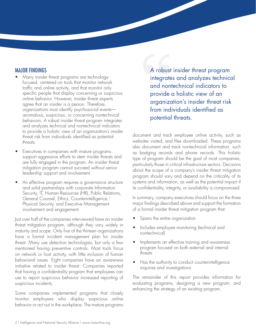### MAJOR FINDINgS

- Many insider threat programs are technologyfocused, centered on tools that monitor network traffic and online activity, and that monitor only specific people that display concerning or suspicious online behavior. However, insider threat experts agree that an insider is a person. Therefore, organizations must identify psychosocial events anomalous, suspicious, or concerning nontechnical behaviors. A robust insider threat program integrates and analyzes technical and nontechnical indicators to provide a holistic view of an organization's insider threat risk from individuals identified as potential threats.
- Executives in companies with mature programs support aggressive efforts to stem insider threats and are fully engaged in the program. An insider threat mitigation program cannot succeed without senior leadership support and involvement.
- An effective program requires a governance structure and solid partnerships with corporate Information Security, IT, Human Resources (HR), Public Relations, General Counsel, Ethics, Counterintelligence,<sup>1</sup> Physical Security, and Executive Management involvement and engagement.

Just over half of the companies interviewed have an insider threat mitigation program, although they vary widely in maturity and scope. Only five of the thirteen organizations have a formal incident management plan for insider threat. many use detection technologies, but only a few mentioned having preventive controls. most tools focus on network or host activity, with little inclusion of human behavioral issues. Eight companies have an awareness initiative related to insider threat. Companies reported that having a *confidentiality* program that employees can use to report suspicious behavior increased reporting of suspicious incidents.

some companies implemented programs that closely monitor employees who display suspicious online behavior or act out in the workplace. The mature programs

A robust insider threat program integrates and analyzes technical and nontechnical indicators to provide a holistic view of an organization's insider threat risk from individuals identified as potential threats.

document and track employee online activity, such as websites visited, and files downloaded. These programs also document and track nontechnical information, such as badging records and phone records. This holistic type of program should be the goal of most companies, particularly those in critical infrastructure sectors. Decisions about the scope of a company's insider threat mitigation program should vary and depend on the criticality of its systems and information, as well as the potential impact if its confidentiality, integrity, or availability is compromised.

In summary, company executives should focus on the three major findings described above and support the formation of a formal insider threat mitigation program that:

- Spans the entire organization
- Includes employee monitoring (technical and nontechnical)
- Implements an effective training and awareness program focused on both external and internal threats
- Has the authority to conduct counterintelligence inquiries and investigations

The remainder of this report provides information for evaluating programs, designing a new program, and enhancing the strategy of an existing program.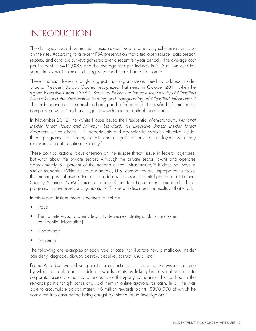## **INTRODUCTION**

the damages caused by malicious insiders each year are not only substantial, but also on the rise. According to a recent RsA presentation that cited open-source, data-breach reports, and data-loss surveys gathered over a recent ten-year period, "The average cost per incident is \$412,000, and the average loss per industry is \$15 million over ten years. In several instances, damages reached more than \$1 billion."2

these financial losses strongly suggest that organizations need to address insider attacks. President Barack obama recognized that need in october 2011 when he signed Executive Order 13587, Structural Reforms to Improve the Security of Classified *Networks and the Responsible Sharing and Safeguarding of Classified Information.3*  this order mandates "responsible sharing and safeguarding of classified information on computer networks" and tasks agencies with meeting both of those goals.

In November 2012, the White House issued the Presidential Memorandum, National *Insider Threat Policy and Minimum Standards for Executive Branch Insider Threat*  Programs, which directs U.S. departments and agencies to establish effective insider threat programs that "deter, detect, and mitigate actions by employees who may represent a threat to national security."4

These political actions focus attention on the insider threat<sup>5</sup> issue in federal agencies, but what about the private sector? Although the private sector "owns and operates approximately 85 percent of the nation's critical infrastructure,"6 it does not have a similar mandate. Without such a mandate, U.S. companies are unprepared to tackle the pressing risk of insider threat. To address this issue, the Intelligence and National Security Alliance (INSA) formed an Insider Threat Task Force to examine insider threat programs in private sector organizations. This report describes the results of that effort.

In this report, insider threat is defined to include

- **Fraud**
- Theft of intellectual property (e.g., trade secrets, strategic plans, and other confidential information)
- IT sabotage
- **Espionage**

the following are examples of each type of case that illustrate how a malicious insider can deny, degrade, disrupt, destroy, deceive, corrupt, usurp, etc.

Fraud: A lead software developer at a prominent credit card company devised a scheme by which he could earn fraudulent rewards points by linking his personal accounts to corporate business credit card accounts of third-party companies. He cashed in the rewards points for gift cards and sold them in online auctions for cash. In all, he was able to accumulate approximately 46 million rewards points, \$300,000 of which he converted into cash before being caught by internal fraud investigators.7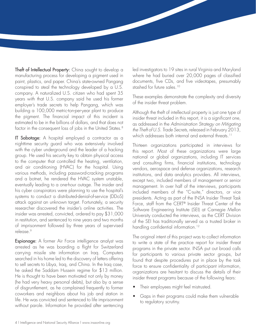Theft of Intellectual Property: China sought to develop a manufacturing process for developing a pigment used in paint, plastics, and paper. china's state-owned Pangang conspired to steal the technology developed by  $a$  U.S. company. A naturalized U.S. citizen who had spent 35 years with that U.S. company said he used his former employer's trade secrets to help Pangang, which was building a 100,000 metric-ton-per-year plant to produce the pigment. The financial impact of this incident is estimated to be in the billions of dollars, and that does not factor in the consequent loss of jobs in the United States.<sup>8</sup>

IT Sabotage: A hospital employed a contractor as a nighttime security guard who was extensively involved with the cyber underground and the leader of a hacking group. He used his security key to obtain physical access to the computer that controlled the heating, ventilation, and air conditioning (HVAC) for the hospital. Using various methods, including password-cracking programs and a botnet, he rendered the HvAc system unstable, eventually leading to a one-hour outage. The insider and his cyber conspirators were planning to use the hospital's systems to conduct a distributed-denial-of-service (DDoS) attack against an unknown target. Fortunately, a security researcher discovered the insider's online activities. The insider was arrested, convicted, ordered to pay \$31,000 in restitution, and sentenced to nine years and two months of imprisonment followed by three years of supervised release.<sup>9</sup>

Espionage: A former Air Force intelligence analyst was arrested as he was boarding a flight for switzerland carrying missile site information on Iraq. Computers searched in his home led to the discovery of letters offering to sell secrets to libya, Iraq, and china. In the Iraq case, he asked the Saddam Hussein regime for \$13 million. He is thought to have been motivated not only by money (he had very heavy personal debts), but also by a sense of disgruntlement, as he complained frequently to former coworkers and neighbors about his job and station in life. He was convicted and sentenced to life imprisonment without parole. Information he provided after sentencing

led investigators to 19 sites in rural Virginia and Maryland where he had buried over 20,000 pages of classified documents, five CDs, and five videotapes, presumably stashed for future sales.<sup>10</sup>

These examples demonstrate the complexity and diversity of the insider threat problem.

Although the theft of intellectual property is just one type of insider threat included in this report, it is a significant one, as addressed in the *Administration Strategy on Mitigating the Theft of U.S. Trade Secrets,* released in February 2013, which addresses both internal and external threats.<sup>11</sup>

handling confidential information.<sup>12</sup> thirteen organizations participated in interviews for this report. Most of these organizations were large national or global organizations, including IT services and consulting firms, financial institutions, technology vendors, aerospace and defense organizations, research institutions, and data analytics providers. All interviews, except two, included members of management or senior management. In over half of the interviews, participants included members of the "C-suite," directors, or vice presidents. Acting as part of the INSA Insider Threat Task Force, staff from the CERT® Insider Threat Center of the Software Engineering Institute (SEI) at Carnegie Mellon University conducted the interviews, as the CERT Division of the SEI has traditionally served as a trusted broker in

The original intent of this project was to collect information to write a state of the practice report for insider threat programs in the private sector. INSA put out broad calls for participants to various private sector groups, but found that despite procedures put in place by the task force to ensure confidentiality of participant information, organizations are hesitant to discuss the details of their insider threat programs because of the following fears:

- Their employees might feel mistrusted.
- Gaps in their programs could make them vulnerable to regulatory scrutiny.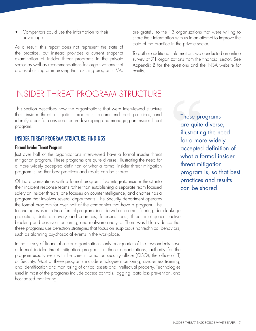Competitors could use the information to their advantage.

As a result, this report does not represent the state of the practice, but instead provides a current snapshot examination of insider threat programs in the private sector as well as recommendations for organizations that are establishing or improving their existing programs. We

### InsIdeR tHReAt PRogRAm stRuctuRe

This section describes how the organizations that were interviewed structure their insider threat mitigation programs, recommend best practices, and their insider threat mitigation programs, recommend best practices, and **These programs**<br>identify areas for consideration in developing and managing an insider threat program. The consideration in developing and managing an insider linear  $\alpha$  are quite diverse,

### INSIDER THREAT PROGRAM STRUCTURE: FINDINGS for a more widely

Just over half of the organizations interviewed have a formal insider threat what a formal insider mitigation program. These programs are quite diverse, illustrating the need for  $\alpha$  more widely accepted definition of wh a more widely accepted definition of what a formal insider threat mitigation program is, so that best practices and results can be shared. **program is, so that best** 

Of the organizations with a formal program, five integrate insider threat into **practices and results** their incident response teams rather than establishing a separate team focused can be shared. solely on insider threats; one focuses on counterintelligence, and another has a program that involves several departments. The Security department operates the formal program for over half of the companies that have a program. the technologies used in these formal programs include web and email filtering, data leakage protection, data discovery and searches, forensics tools, threat intelligence, active blocking and passive monitoring, and malware analysis. There was little evidence that these programs use detection strategies that focus on suspicious nontechnical behaviors, such as alarming psychosocial events in the workplace.

In the survey of financial sector organizations, only one-quarter of the respondents have a formal insider threat mitigation program. In those organizations, authority for the program usually rests with the chief information security officer (CISO), the office of IT, or Security. Most of these programs include employee monitoring, awareness training, and identification and monitoring of critical assets and intellectual property. technologies used in most of the programs include access controls, logging, data loss prevention, and host-based monitoring.

are grateful to the 13 organizations that were willing to share their information with us in an attempt to improve the state of the practice in the private sector.

To gather additional information, we conducted an online survey of 71 organizations from the financial sector. See Appendix B for the questions and the INSA website for results.

illustrating the need Formal Insider Threat Program<br>Just over half of the organizations interviewed have a formal insider threat **a** subget a formal insider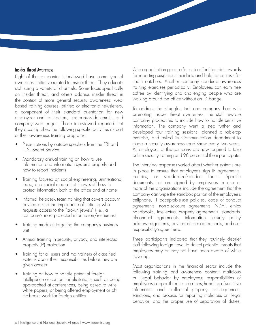#### Insider Threat Awareness

Eight of the companies interviewed have some type of awareness initiative related to insider threat. They educate staff using a variety of channels. some focus specifically on insider threat, and others address insider threat in the context of more general security awareness: webbased training courses, printed or electronic newsletters, a component of their standard orientation for new employees and contractors, company-wide emails, and company web pages. Those interviewed reported that they accomplished the following specific activities as part of their awareness training programs:

- Presentations by outside speakers from the FBI and U.S. Secret Service
- Mandatory annual training on how to use information and information systems properly and how to report incidents
- Training focused on social engineering, unintentional leaks, and social media that show staff how to protect information both at the office and at home
- Informal helpdesk team training that covers account privileges and the importance of noticing who requests access to the "crown jewels" (i.e., a company's most protected information/resources)
- Training modules targeting the company's business unit
- Annual training in security, privacy, and intellectual property (IP) protection
- Training for all users and maintainers of classified systems about their responsibilities before they are given access
- Training on how to handle potential foreign intelligence or competitor elicitations, such as being approached at conferences, being asked to write white papers, or being offered employment or offthe-books work for foreign entities

One organization goes so far as to offer financial rewards for reporting suspicious incidents and holding contests for spam catchers. Another company conducts awareness training exercises periodically: Employees can earn free coffee by identifying and challenging people who are walking around the office without an ID badge.

To address the struggles that one company had with promoting insider threat awareness, the staff rewrote company procedures to include how to handle sensitive information. The company went a step further and developed four training sessions, planned a tabletop exercise, and asked its communication department to stage a security awareness road show every two years. All employees at this company are now required to take online security training and 98 percent of them participate.

The interview responses varied about whether systems are in place to ensure that employees sign IP agreements, policies, or standards-of-conduct forms. specific documents that are signed by employees in one or more of the organizations include the agreement that the company can wipe the sandbox portion of the employee's cellphone, It acceptable-use policies, code of conduct agreements, non-disclosure agreements (NDA), ethics handbooks, intellectual property agreements, standardsof-conduct agreements, information security policy acknowledgements, privileged user agreements, and user responsibility agreements.

Three participants indicated that they routinely debrief staff following foreign travel to detect potential threats that employees may or may not have been aware of while traveling.

Most organizations in the financial sector include the following training and awareness content: malicious or illegal behavior by employees; responsibilities of employees to report threats and crimes; handling of sensitive information and intellectual property; consequences, sanctions, and process for reporting malicious or illegal behavior; and the proper use of separation of duties.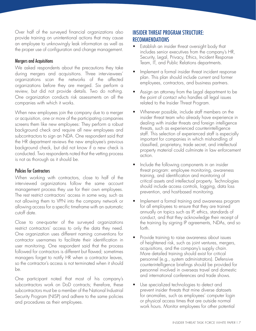over half of the surveyed financial organizations also provide training on unintentional actions that may cause an employee to unknowingly leak information as well as the proper use of configuration and change management.

#### Mergers and Acquisitions

We asked respondents about the precautions they take during mergers and acquisitions. Three interviewees' organizations scan the networks of the affected organizations before they are merged. six perform a review, but did not provide details. Two do nothing. One organization conducts risk assessments on all the companies with which it works.

when new employees join the company due to a merger or acquisition, one or more of the participating companies screens them like new employees: They perform a robust background check and require all new employees and subcontractors to sign an NDA. One respondent said that the HR department reviews the new employee's previous background check, but did not know if a new check is conducted. Two respondents noted that the vetting process is not as thorough as it should be.

#### Policies for Contractors

when working with contractors, close to half of the interviewed organizations follow the same account management process they use for their own employees. The rest restrict contractors' access in some way, such as not allowing them to VPN into the company network or allowing access for a specific timeframe with an automatic cutoff date.

close to one-quarter of the surveyed organizations restrict contractors' access to only the data they need. One organization uses different naming conventions for contractor usernames to facilitate their identification in user monitoring. One respondent said that the process followed for contractors is different but flawed; sometimes managers forget to notify HR when a contractor leaves, so the contractor's access is not terminated when it should be.

One participant noted that most of his company's subcontractors work on DoD contracts; therefore, these subcontractors must be a member of the National Industrial Security Program (NISP) and adhere to the same policies and procedures as their employees.

### INSIDER THREAT PROgRAM STRUCTURE: **RECOMMENDATIONS**

- Establish an insider threat oversight body that includes senior executives from the company's HR, Security, Legal, Privacy, Ethics, Incident Response Team, IT, and Public Relations departments.
- Implement a formal insider threat incident response plan. this plan should include current and former employees, contractors, and business partners.
- Assign an attorney from the legal department to be the point of contact who handles all legal issues related to the Insider Threat Program.
- Whenever possible, include staff members on the insider threat team who already have experience in dealing with insider threats and foreign intelligence threats, such as experienced counterintelligence staff. This selection of experienced staff is especially important for companies in which mishandling of classified, proprietary, trade secret, and intellectual property material could culminate in law enforcement action.
- Include the following components in an insider threat program: employee monitoring, awareness training, and identification and monitoring of critical assets and intellectual property. Technologies should include access controls, logging, data loss prevention, and host-based monitoring.
- Implement a formal training and awareness program for all employees to ensure that they are trained annually on topics such as IP, ethics, standards of conduct, and that they acknowledge their receipt of the training by signing IP agreements, NDAs, and so forth.
- Provide training to raise awareness about issues of heightened risk, such as joint ventures, mergers, acquisitions, and the company's supply chain. more detailed training should exist for critical personnel (e.g., system administrators). Defensive counterintelligence briefings should be provided for personnel involved in overseas travel and domestic and international conferences and trade shows.
- Use specialized technologies to detect and prevent insider threats that mine diverse datasets for anomalies, such as employees' computer login or physical access times that are outside normal work hours. Monitor employees for other potential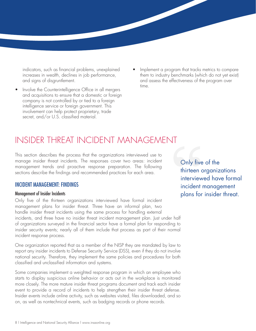- Involve the Counterintelligence Office in all mergers and acquisitions to ensure that a domestic or foreign company is not controlled by or tied to a foreign intelligence service or foreign government. This involvement can help protect proprietary, trade secret, and/or U.S. classified material.
- indicators, such as financial problems, unexplained Implement a program that tracks metrics to compare increases in wealth, declines in job performance, them to industry benchmarks (which do not yet exist) and signs of disgruntlement.  $\qquad \qquad \qquad \qquad$  and assess the effectiveness of the program over time.

### InsIdeR tHReAt IncIdent mAnAgement

this section describes the process that the organizations interviewed use to manage insider threat incidents. The responses cover two areas: incident manage insider threat incidents. The responses cover two areas: incident<br>management trends and proactive response preparation. The following<br>soctions describe the findings and recommended practices for each area. **Thirteen** sections describe the findings and recommended practices for each area.

only five of the thirteen organizations interviewed have formal incident management plans for insider threat. three have an informal plan, two handle insider threat incidents using the same process for handling external incidents, and three have no insider threat incident management plan. Just under half of organizations surveyed in the financial sector have a formal plan for responding to insider security events; nearly all of them include that process as part of their normal incident response process.

One organization reported that as a member of the NISP they are mandated by law to report any insider incidents to Defense Security Service (DSS), even if they do not involve national security. Therefore, they implement the same policies and procedures for both classified and unclassified information and systems.

some companies implement a weighted response program in which an employee who starts to display suspicious online behavior or acts out in the workplace is monitored more closely. the more mature insider threat programs document and track each insider event to provide a record of incidents to help strengthen their insider threat defense. Insider events include online activity, such as websites visited, files downloaded, and so on, as well as nontechnical events, such as badging records or phone records.

interviewed have formal INCIDENT MANAGEMENT: FINDINGS **incident management** Management of Insider Incidents and the set of the set of the set of the set of the set of the set of the set of the set of the set of the set of the set of the set of the set of the set of the set of the set of the set of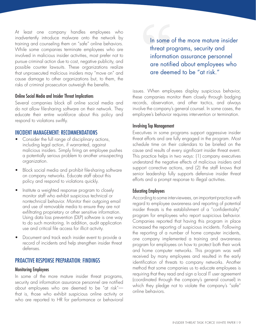At least one company handles employees who inadvertently introduce malware onto the network by training and counseling them on "safe" online behaviors. while some companies terminate employees who are involved in malicious insider activities, most prefer not to pursue criminal action due to cost, negative publicity, and possible counter lawsuits. These organizations realize that unprosecuted malicious insiders may "move on" and cause damage to other organizations but, to them, the risks of criminal prosecution outweigh the benefits.

#### Online Social Media and Insider Threat Implications

several companies block all online social media and do not allow file-sharing software on their network. They educate their entire workforce about this policy and respond to violations swiftly.

#### INCIDENT MANAgEMENT: RECOMMENDATIONS

- Consider the full range of disciplinary actions, including legal action, if warranted, against malicious insiders. simply firing an employee pushes a potentially serious problem to another unsuspecting organization.
- Block social media and prohibit file-sharing software on company networks. Educate staff about this policy and respond to violations quickly.
- Institute a weighted response program to closely monitor staff who exhibit suspicious technical or nontechnical behavior. Monitor their outgoing email and use of removable media to ensure they are not exfiltrating proprietary or other sensitive information. Using data loss prevention (DLP) software is one way to do such monitoring. In addition, audit application use and critical file access for illicit activity.
- Document and track each insider event to provide a record of incidents and help strengthen insider threat defenses.

#### PROACTIVE RESPONSE PREPARATION: FINDINgS

#### Monitoring Employees

In some of the more mature insider threat programs, security and information assurance personnel are notified about employees who are deemed to be "at risk" that is, those who exhibit suspicious online activity or who are reported to HR for performance or behavioral

In some of the more mature insider threat programs, security and information assurance personnel are notified about employees who are deemed to be "at risk."

issues. when employees display suspicious behavior, these companies monitor them closely through badging records, observation, and other tactics, and always involve the company's general counsel. In some cases, the employee's behavior requires intervention or termination.

#### Involving Top Management

Executives in some programs support aggressive insider threat efforts and are fully engaged in the program. Most schedule time on their calendars to be briefed on the cause and results of every significant insider threat event. This practice helps in two ways: (1) company executives understand the negative effects of malicious insiders and support corrective actions, and (2) the staff knows that senior leadership fully supports defensive insider threat efforts and a prompt response to illegal activities.

#### Educating Employees

According to some interviewees, an important practice with regard to employee awareness and reporting of potential insider threats is the establishment of a "confidentiality" program for employees who report suspicious behavior. companies reported that having this program in place increased the reporting of suspicious incidents. Following the reporting of a number of home computer incidents, one company implemented a training and awareness program for employees on how to protect both their work and home computer networks. This program was well received by many employees and resulted in the early identification of threats to company networks. Another method that some companies us to educate employees is requiring that they read and sign a local IT user agreement (coordinated through the company's general counsel) in which they pledge not to violate the company's "safe" online behaviors.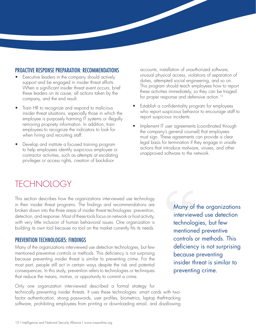- these leaders on its cause, all actions taken by the these activities immediately, so they can be the company, and the end result.
- removing propriety information. In addition, train
- privileges or access rights, creation of backdoor

**PROACTIVE RESPONSE PREPARATION: RECOMMENDATIONS** accounts, installation of unauthorized software,<br> **•** Executive leaders in the company should actively unusual physical access, violations of separation of Executive leaders in the company should actively<br>support and be engaged in insider threat efforts.<br>Mean a significant insider threat event escure, brief and so on. This program should teach employees how to report When a significant insider threat event occurs, brief this program should teach employees how to report these leaders on its cause all actions taken by the three activities immediately, so they can be triaged

- Train HR to recognize and respond to malicious<br>insider threat situations, especially those in which the<br>employee is purposely harming IT systems or illegally<br>report suspicious incidents.
	- removing propriety information. In addition, train<br>employees to recognize the indicators to look for<br>when hiring and recruiting staff.<br>when hiring and recruiting staff.<br>must sign. These agreements can provide a clear Develop and institute a focused training program<br>to help employees identify suspicious employee or<br>contractor activities, such as attempts at escalating<br>and proper or the network.

## **TECHNOLOGY**

this section describes how the organizations interviewed use technology in their insider threat programs. The findings and recommendations are broken down into the three areas of insider threat technologies: prevention, detection, and response. Most of these tools focus on network or host activity, with very little inclusion of human behavioral issues. One organization is building its own tool because no tool on the market currently fits its needs.

Many of the organizations interviewed use detection technologies, but few mentioned preventive controls or methods. This deficiency is not surprising<br>because preventing insider threat is similar to preventing crime. For the<br>most part, people still act in certain ways despite the risk and potenti consequences. In this study, prevention refers to technologies or techniques **preventing crime.** that reduce the means, motive, or opportunity to commit a crime.

only one organization interviewed described a formal strategy for technically preventing insider threats. It uses these technologies: smart cards with two factor authentication, strong passwords, user profiles, biometrics, laptop theft-tracking software, prohibiting employees from printing or downloading email, and disallowing

technologies, but few mentioned preventive **PREVENTION TECHNOLOGIES: FINDINGS**<br>
Many of the organizations interviewed use detection technologies, but few **deficiency is not surprising** Many of the organizations interviewed use detection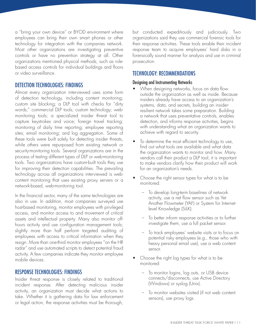a "bring your own device" or BYOD environment where employees can bring their own smart phones or other technology for integration with the companies network. Most other organizations are investigating preventive controls or have no prevention strategy at all. Other organizations mentioned physical methods, such as rolebased access controls for individual buildings and floors or video surveillance.

### DETECTION TECHNOLOgIES: FINDINgS

Almost every organization interviewed uses some form of detection technology, including content monitoring; custom site blocking; a DLP tool with checks for "dirty words;" commercial DLP tools; custom technology; webmonitoring tools; a specialized insider threat tool to capture keystrokes and voice; foreign travel tracking; monitoring of daily time reporting; employee reporting sites; email monitoring; and log aggregation. some of these tools were built solely for detecting insider threats, while others were repurposed from existing network or security-monitoring tools. Several organizations are in the process of testing different types of DLP or web-monitoring tools. two organizations have custom-built tools they use for improving their detection capabilities. The prevailing technology across all organizations interviewed is webcontent monitoring that uses existing proxy servers or a network-based, web-monitoring tool.

In the financial sector, many of the same technologies are also in use. In addition, most companies surveyed use host-based monitoring, monitor employees with privileged access, and monitor access to and movement of critical assets and intellectual property. many also monitor offhours activity and use configuration management tools; slightly more than half perform targeted auditing of employees with access to critical information when they resign. More than one-third monitor employees "on the HR radar" and use automated scripts to detect potential fraud activity. A few companies indicate they monitor employee mobile devices.

#### RESPONSE TECHNOLOgIES: FINDINgS

Insider threat response is closely related to traditional incident response. After detecting malicious insider activity, an organization must decide what actions to take. whether it is gathering data for law enforcement or legal action, the response activities must be thorough,

but conducted expeditiously and judiciously. two organizations said they use commercial forensic tools for their response activities. These tools enable their incident response team to acquire employees' hard disks in a forensically sound manner for analysis and use in criminal prosecution.

### TECHNOLOgY: RECOMMENDATIONS

#### Designing and Instrumenting Networks

- When designing networks, focus on data flow outside the organization as well as inside. Because insiders already have access to an organization's systems, data, and secrets, building an insiderresilient network takes some preparation. Building a network that uses preventative controls, enables detection, and informs response activities, begins with understanding what an organization wants to achieve with regard to security.
- To determine the most efficient technology to use, find out what tools are available and what data the organization wants to monitor and how. Many vendors call their product a DLP tool; it is important to make vendors clarify how their product will work for an organization's needs.
- Choose the right sensor types for what is to be monitored:
	- To develop long-term baselines of network activity, use a net flow sensor such as Yet Another Flowmeter (YAF) or System for Internetlevel knowledge (silk).
	- – to better inform response activities or to further investigate them, use a full packet sensor.
	- – to track employees' website visits or to focus on potential risky employees (e.g., those who with heavy personal email use), use a web content sensor.
- Choose the right log types for what is to be monitored:
	- To monitor logins, log outs, or USB device connects/disconnects, use Active Directory (Windows) or syslog (Unix).
	- To monitor websites visited (if not web content sensors), use proxy logs.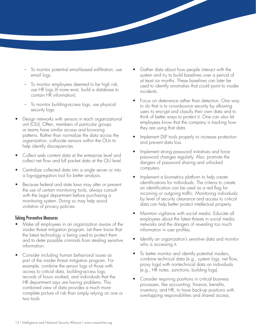- To monitor potential email-based exfiltration, use email logs.
- To monitor employees deemed to be high risk, use HR logs (if none exist, build a database to contain HR information).
- To monitor building-access logs, use physical security logs.
- Design networks with sensors in each organizational unit (OU). Often, members of particular groups or teams have similar access and browsing patterns. Rather than normalize the data across the organization, collocate sensors within the OUs to help identify discrepancies.
- Collect web content data at the enterprise level and collect net flow and full packet data at the OU level.
- Centralize collected data into a single server or into a log-aggregation tool for better analysis.
- Because federal and state laws may alter or prevent the use of certain monitoring tools, always consult with the legal department before purchasing a monitoring system. Doing so may help avoid violation of privacy policies.

#### Taking Preventive Measures

- Make all employees in an organization aware of the insider threat mitigation program. let them know that the latest technology is being used to protect them and to deter possible criminals from stealing sensitive information.
- Consider including human behavioral issues as part of the insider threat mitigation program. For example, combine the sensor logs of those with access to critical data, building-access logs, records of hours worked, and individuals that the HR department says are having problems. This combined view of data provides a much more complete picture of risk than simply relying on one or two tools.
- Gather data about how people interact with the system and try to build baselines over a period of at least six months. These baselines can later be used to identify anomalies that could point to insider incidents.
- Focus on deterrence rather than detection. One way to do that is to crowdsource security by allowing users to encrypt and classify their own data and to think of better ways to protect it. One can also let employees know that the company is tracking how they are using that data.
- Implement DLP tools properly to increase protection and prevent data loss.
- Implement strong password initiatives and force password changes regularly. Also, promote the dangers of password sharing and unlocked computers.
- Implement a biometrics platform to help create identifications for individuals. The criteria to create an identification can be used as a red flag for incoming or outgoing traffic. Monitoring individuals by level of security clearance and access to critical data can help better protect intellectual property.
- Maintain vigilance with social media. Educate all employees about the latest threats in social media networks and the dangers of revealing too much information in user profiles.
- Identify an organization's sensitive data and monitor who is accessing it.
- To better monitor and identify potential insiders, combine technical data (e.g., system logs, net flow, proxy logs) with nontechnical data on individuals (e.g., HR notes, sanctions, building logs).
- Consider requiring positions in critical business processes, like accounting, finance, benefits, inventory, and HR, to have back-up positions with overlapping responsibilities and shared access.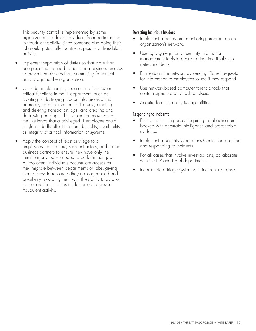This security control is implemented by some organizations to deter individuals from participating in fraudulent activity, since someone else doing their job could potentially identify suspicious or fraudulent activity.

- Implement separation of duties so that more than one person is required to perform a business process to prevent employees from committing fraudulent activity against the organization.
- Consider implementing separation of duties for critical functions in the It department, such as creating or destroying credentials; provisioning or modifying authorization to IT assets; creating and deleting transaction logs; and creating and destroying backups. This separation may reduce the likelihood that a privileged IT employee could singlehandedly affect the confidentiality, availability, or integrity of critical information or systems.
- Apply the concept of least privilege to all employees, contractors, sub-contractors, and trusted business partners to ensure they have only the minimum privileges needed to perform their job. All too often, individuals accumulate access as they migrate between departments or jobs, giving them access to resources they no longer need and possibility providing them with the ability to bypass the separation of duties implemented to prevent fraudulent activity.

#### Detecting Malicious Insiders

- Implement a behavioral monitoring program on an organization's network.
- Use log aggregation or security information management tools to decrease the time it takes to detect incidents.
- Run tests on the network by sending "false" requests for information to employees to see if they respond.
- Use network-based computer forensic tools that contain signature and hash analysis.
- Acquire forensic analysis capabilities.

#### Responding to Incidents

- Ensure that all responses requiring legal action are backed with accurate intelligence and presentable evidence.
- Implement a Security Operations Center for reporting and responding to incidents.
- For all cases that involve investigations, collaborate with the HR and legal departments.
- Incorporate a triage system with incident response.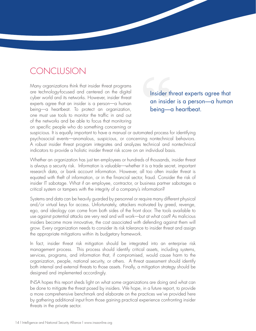### conclusIon

Many organizations think that insider threat programs are technology-focused and centered on the digital Insider threat experts agree that cyber world and its networks. However, insider threat an insider is a person—a human experts agree that an insider is a person—a human being—a heartbeat. To protect an organization, being—a heartbeat. one must use tools to monitor the traffic in and out of the networks and be able to focus that monitoring on specific people who do something concerning or

suspicious. It is equally important to have a manual or automated process for identifying psychosocial events—anomalous, suspicious, or concerning nontechnical behaviors. A robust insider threat program integrates and analyzes technical and nontechnical indicators to provide a holistic insider threat risk score on an individual basis.

whether an organization has just ten employees or hundreds of thousands, insider threat is always a security risk. Information is valuable—whether it is a trade secret, important research data, or bank account information. However, all too often insider threat is equated with theft of information, or in the financial sector, fraud. Consider the risk of insider IT sabotage. What if an employee, contractor, or business partner sabotages a critical system or tampers with the integrity of a company's information?

systems and data can be heavily guarded by personnel or require many different physical and/or virtual keys for access. Unfortunately, attackers motivated by greed, revenge, ego, and ideology can come from both sides of the front door. The tools available to use against potential attacks are very real and will work—but at what cost? As malicious insiders become more innovative, the cost associated with defending against them will grow. Every organization needs to consider its risk tolerance to insider threat and assign the appropriate mitigations within its budgetary framework.

In fact, insider threat risk mitigation should be integrated into an enterprise risk management process. This process should identify critical assets, including systems, services, programs, and information that, if compromised, would cause harm to the organization, people, national security, or others. A threat assessment should identify both internal and external threats to those assets. Finally, a mitigation strategy should be designed and implemented accordingly.

INSA hopes this report sheds light on what some organizations are doing and what can be done to mitigate the threat posed by insiders. we hope, in a future report, to provide a more comprehensive benchmark and elaborate on the practices we've provided here by gathering additional input from those gaining practical experience confronting insider threats in the private sector.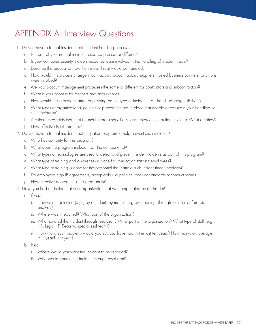## APPENDIX A: Interview Questions

- 1. Do you have a formal insider threat incident handling process?
	- a. Is it part of your normal incident response process or different?
	- b. Is your computer security incident response team involved in the handling of insider threats?
	- c. Describe the process or how the insider threat would be handled.
	- d. How would this process change if contractors, subcontractors, suppliers, trusted business partners, or unions were involved?
	- e. Are your account management processes the same or different for contractors and subcontractors?
	- f. What is your process for mergers and acquisitions?
	- g. How would this process change depending on the type of incident (i.e., fraud, sabotage, IP theft)?
	- h. What types of organizational policies or procedures are in place that enable or constrain your handling of such incidents?
	- i. Are there thresholds that must be met before a specific type of enforcement action is taken? What are they?
	- j. How effective is this process?
- 2. Do you have a formal insider threat mitigation program to help prevent such incidents?
	- a. Who has authority for this program?
	- b. What does the program include (i.e., the components)?
	- c. What types of technologies are used to detect and prevent insider incidents as part of this program?
	- d. What type of training and awareness is done for your organization's employees?
	- e. What type of training is done for the personnel that handle such insider threat incidents?
	- f. Do employees sign IP agreements, acceptable use policies, and/or standards-of-conduct forms?
	- g. How effective do you think this program is?
- 3. Have you had an incident at your organization that was perpetrated by an insider?
	- a. If yes,
		- i. How was it detected (e.g., by accident, by monitoring, by reporting, through incident or forensic analysis)?
		- ii. Where was it reported? What part of the organization?
		- iii. Who handled the incident through resolution? What part of the organization? What type of staff (e.g., HR, Legal, IT, Security, specialized team)?
		- iv. How many such incidents would you say you have had in the last ten years? How many, on average, in a year? last year?
	- b. If no,
		- i. Where would you want the incident to be reported?
		- ii. Who would handle the incident through resolution?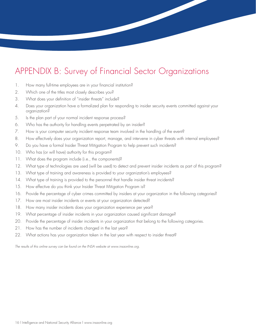## APPENDIX B: Survey of Financial Sector Organizations

- 1. How many full-time employees are in your financial institution?
- 2. Which one of the titles most closely describes you?
- 3. What does your definition of "insider threats" include?
- 4. Does your organization have a formalized plan for responding to insider security events committed against your organization?
- 5. Is the plan part of your normal incident response process?
- 6. Who has the authority for handling events perpetrated by an insider?
- 7. How is your computer security incident response team involved in the handling of the event?
- 8. How effectively does your organization report, manage, and intervene in cyber threats with internal employees?
- 9. Do you have a formal Insider Threat Mitigation Program to help prevent such incidents?
- 10. Who has (or will have) authority for this program?
- 11. What does the program include (i.e., the components)?
- 12. What type of technologies are used (will be used) to detect and prevent insider incidents as part of this program?
- 13. What type of training and awareness is provided to your organization's employees?
- 14. What type of training is provided to the personnel that handle insider threat incidents?
- 15. How effective do you think your Insider Threat Mitigation Program is?
- 16. Provide the percentage of cyber crimes committed by insiders at your organization in the following categories?
- 17. How are most insider incidents or events at your organization detected?
- 18. How many insider incidents does your organization experience per year?
- 19. What percentage of insider incidents in your organization caused significant damage?
- 20. Provide the percentage of insider incidents in your organization that belong to the following categories.
- 21. How has the number of incidents changed in the last year?
- 22. What actions has your organization taken in the last year with respect to insider threat?

*The results of this online survey can be found on the INSA website at www.insaonline.org.*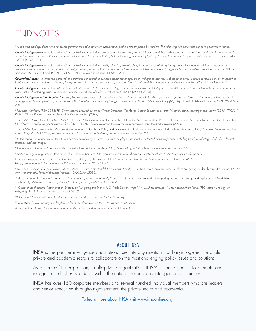## **ENDNOTES**

*1 A common ontology does not exist across government and industry for cybersecurity and the threats posed by insiders. The following five definitions are from government sources:* 

*Counterintelligence—Information gathered and activities conducted to protect against espionage, other intelligence activities, sabotage, or assassinations conducted for or on behalf*  of foreign powers, organizations, or persons, or international terrorist activities, but not including personnel, physical, document or communications security programs. Executive Order 12333 (4 dec 1981)

*Counterintelligence—Information gathered and activities conducted to identify, deceive, exploit, disrupt, or protect against espionage, other intelligence activities, sabotage, or*  assassinations conducted for or on behalf of foreign powers, organizations or persons, or their agents, or international terrorist organizations or activities. Executive Order 12333 (as amended 30 July 2008 and JP 2-01.2, CI & HUMINT in Joint Operations, 11 Mar 2011)

*Counterintelligence—Information gathered and activities conducted to protect against espionage, other intelligence activities, sabotage or assassinations conducted by or on behalf of foreign governments or elements thereof, foreign organizations, or foreign persons, or international terrorist activities. Department of Defense Directive 5240.2 (22 May 1997)* 

*Counterintelligence—Information gathered and activities conducted to detect, identify, exploit, and neutralize the intelligence capabilities and activities of terrorists, foreign powers, and other entities directed against U.S. national security. Department of Defense Instruction 5240.17 (26 Oct 2005)* 

*Counterintelligence insider threat— A person, known or suspected, who uses their authorized access to DoD facilities, personnel, systems, equipment, information, or infrastructure to*  damage and disrupt operations, compromise DoD information, or commit espionage on behalf of an Foreign Intelligence Entity (FIE). Department of Defense Instruction 5240.26 (4 May 2012)

*2 Richards, Kathleen. "RSA 2013: FBI Offers Lessons Learned on Insider Threat Detection."* techtarget searchsecurity.com. *http://searchsecurity.techtarget.com/news/2240179082/ RSA-2013-FBI-offers-lessons-learned-on-insider-threat-detection (2013).* 

<sup>3</sup> The White House. Executive Order 13587–Structural Reforms to Improve the Security of Classified Networks and the Responsible Sharing and Safeguarding of Classified Information. *http://www.whitehouse.gov/the-press-office/2011/10/07/executive-order-structural-reforms-improve-security-classified-networks- (2011).* 

*4 The White House.* Presidential memorandum–national Insider threat Policy and minimum standards for executive Branch Insider threat Programs. *http://www.whitehouse.gov/thepress-office/2012/11/21/presidential-memorandum-national-insider-threat-policy-and-minimum-stand (2012).* 

*5 In this report, we define* insider threat *as malicious activities by a current or former employee, contractor, or trusted business partner, including fraud, IT sabotage, theft of intellectual property, and espionage.* 

*6 Department of Homeland Security.* critical Infrastructure sector Partnerships. *http://www.dhs.gov/critical-infrastructure-sector-partnerships (2013).* 

*7 Software Engineering Institute.* Insider Fraud in Financial services. *http://www.sei.cmu.edu/library/abstracts/brochures/12sr004-brochure.cfm (2012).* 

 $^{\text{\tiny{\textregistered}}}$  The Commission on the Theft of American Intellectual Property. The Report of The Commission on the Theft of American Intellectual Property (2013) *http://www.ipcommission.org/report/IP\_Commission\_Report\_052213.pdf* 

% Silowash, George; Cappelli, Dawn; Moore, Andrew P; Trzeciak, Randall F.; Shimeall, Timothy J.; & Flynn, Lori. Common Sense Guide to Mitigating Insider Threats, 4th Edition. *http:// www.sei.cmu.edu/library/abstracts/reports/12tr012.cfm (2012).* 

<sup>10</sup> Band, Stephen R.; Cappelli, Dawn N.; Fischer, Lynn F.; Moore, Andrew P.; Shaw, Eric D.; & Trzeciak, Randall F. Comparing Insider IT Sabotage and Espionage: A Model-Based Analysis. *http://www.sei.cmu.edu/library/abstracts/reports/06tr026.cfm (2006).* 

*11 Office of the President.* Administration strategy on mitigating the theft of u.s. trade secrets. *http://www.whitehouse.gov//sites/default/files/omb/IPEC/admin\_strategy\_on\_ mitigating\_the\_theft\_of\_u.s.\_trade\_secrets.pdf (2013).* 

*® CERT and CERT Coordination Center are registered marks of Carnegie Mellon University.* 

*12 See http://www.cert.org/insider\_threat/ for more information on the CERT Insider Threat Center.* 

<sup>13</sup> "Separation of duties" is the concept of more than one individual required to complete a task.

#### ABOUT INSA

INSA is the premier intelligence and national security organization that brings together the public, private and academic sectors to collaborate on the most challenging policy issues and solutions.

As a non-profit, non-partisan, public-private organization, INSA's ultimate goal is to promote and recognize the highest standards within the national security and intelligence communities.

InsA has over 150 corporate members and several hundred individual members who are leaders and senior executives throughout government, the private sector and academia.

To learn more about INSA visit www.insaonline.org.